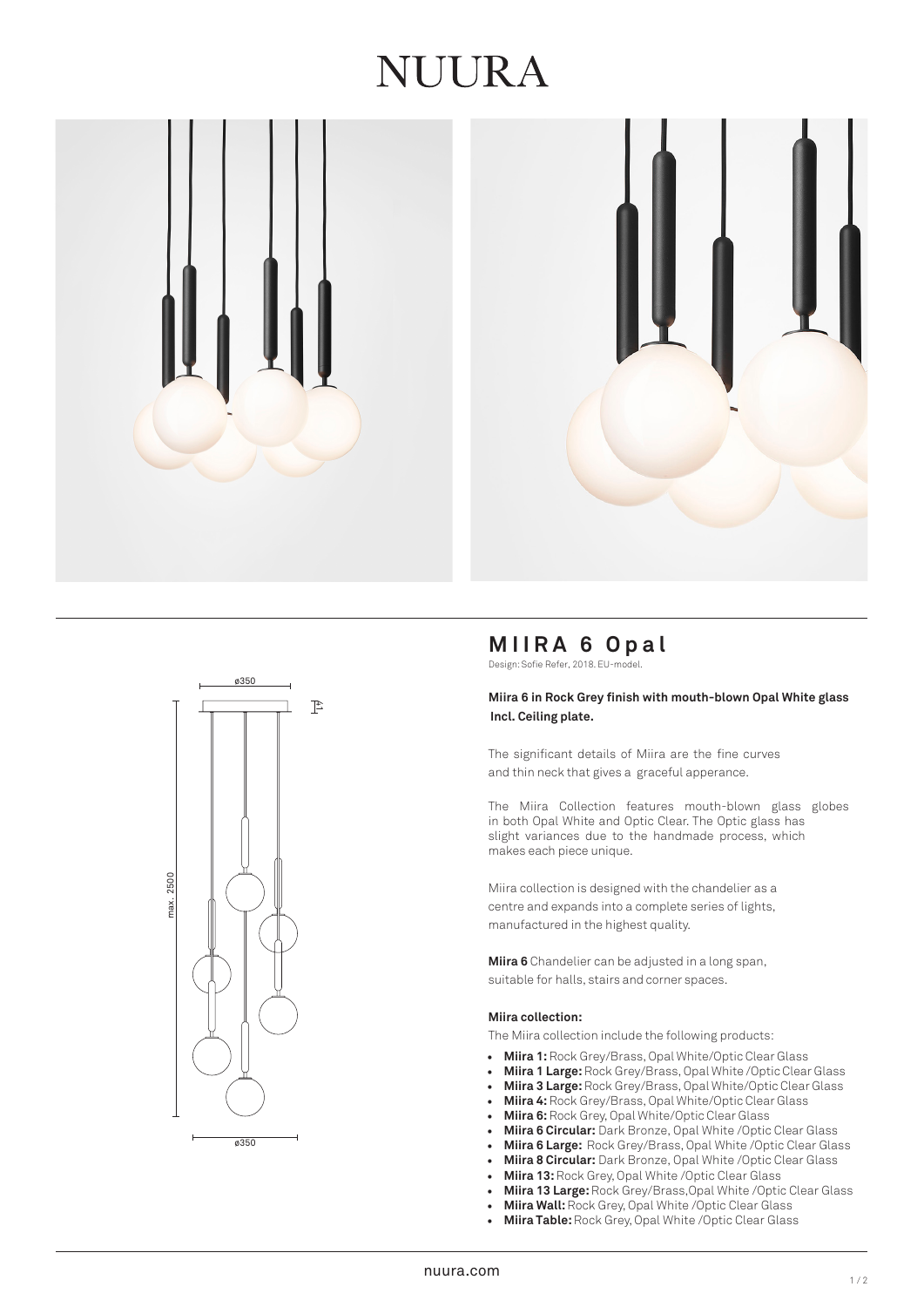# **IUURA**





# **MIIRA 6 Opal**

Design: Sofie Refer, 2018. EU-model.

#### **Miira 6 in Rock Grey finish with mouth-blown Opal White glass Incl. Ceiling plate.**

The significant details of Miira are the fine curves and thin neck that gives a graceful apperance.

The Miira Collection features mouth-blown glass globes in both Opal White and Optic Clear. The Optic glass has slight variances due to the handmade process, which makes each piece unique.

Miira collection is designed with the chandelier as a centre and expands into a complete series of lights, manufactured in the highest quality.

**Miira 6** Chandelier can be adjusted in a long span, suitable for halls, stairs and corner spaces.

#### **Miira collection:**

The Miira collection include the following products:

- **Miira 1:** Rock Grey/Brass, Opal White/Optic Clear Glass
- **Miira 1 Large:** Rock Grey/Brass, Opal White /Optic Clear Glass
- **Miira 3 Large:**Rock Grey/Brass, Opal White/Optic Clear Glass
- **Miira 4:** Rock Grey/Brass, Opal White/Optic Clear Glass
- **Miira 6:**Rock Grey, Opal White/Optic Clear Glass
- **Miira 6 Circular:** Dark Bronze, Opal White /Optic Clear Glass
- **Miira 6 Large:** Rock Grey/Brass, Opal White /Optic Clear Glass
- **Miira 8 Circular:** Dark Bronze, Opal White /Optic Clear Glass
- **Miira 13:** Rock Grey, Opal White /Optic Clear Glass
- **Miira 13 Large:** Rock Grey/Brass,Opal White /Optic Clear Glass
- **Miira Wall:**Rock Grey, Opal White /Optic Clear Glass
- **Miira Table:** Rock Grey, Opal White /Optic Clear Glass